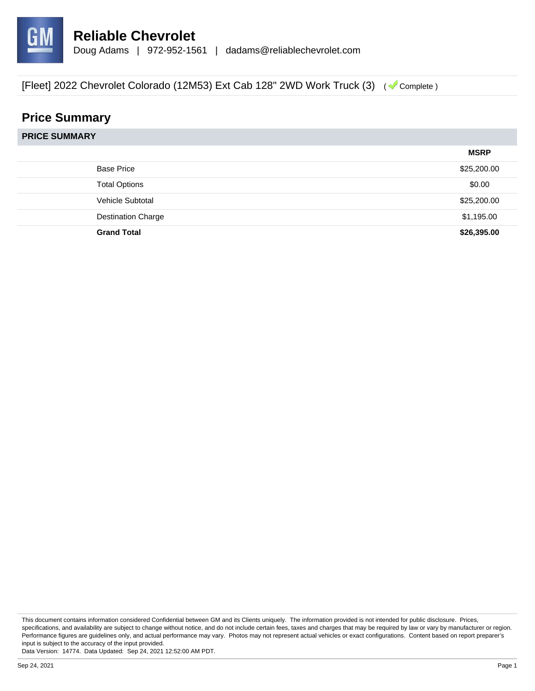

## **Price Summary**

|                           | <b>MSRP</b> |
|---------------------------|-------------|
| <b>Base Price</b>         | \$25,200.00 |
| <b>Total Options</b>      | \$0.00      |
| Vehicle Subtotal          | \$25,200.00 |
| <b>Destination Charge</b> | \$1,195.00  |
| <b>Grand Total</b>        | \$26,395.00 |

This document contains information considered Confidential between GM and its Clients uniquely. The information provided is not intended for public disclosure. Prices, specifications, and availability are subject to change without notice, and do not include certain fees, taxes and charges that may be required by law or vary by manufacturer or region. Performance figures are guidelines only, and actual performance may vary. Photos may not represent actual vehicles or exact configurations. Content based on report preparer's input is subject to the accuracy of the input provided.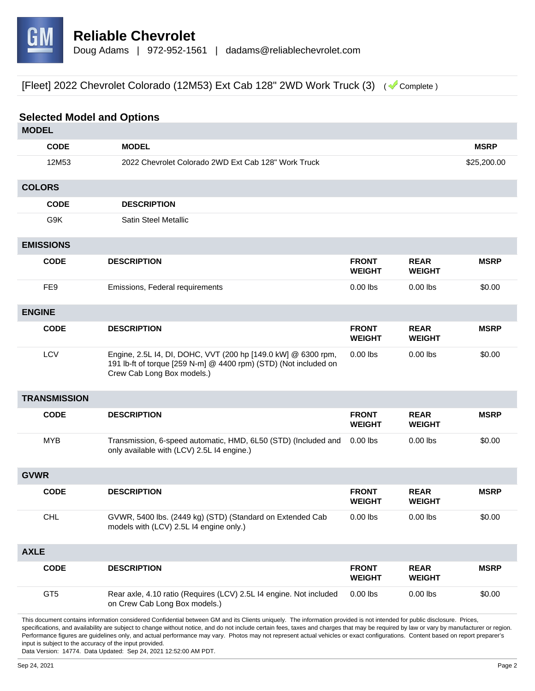

| <b>Selected Model and Options</b> |                                                                                                                                                                         |                               |                              |             |
|-----------------------------------|-------------------------------------------------------------------------------------------------------------------------------------------------------------------------|-------------------------------|------------------------------|-------------|
| <b>MODEL</b>                      |                                                                                                                                                                         |                               |                              |             |
| <b>CODE</b>                       | <b>MODEL</b>                                                                                                                                                            |                               |                              | <b>MSRP</b> |
| 12M53                             | 2022 Chevrolet Colorado 2WD Ext Cab 128" Work Truck                                                                                                                     |                               |                              | \$25,200.00 |
| <b>COLORS</b>                     |                                                                                                                                                                         |                               |                              |             |
| <b>CODE</b>                       | <b>DESCRIPTION</b>                                                                                                                                                      |                               |                              |             |
| G9K                               | <b>Satin Steel Metallic</b>                                                                                                                                             |                               |                              |             |
| <b>EMISSIONS</b>                  |                                                                                                                                                                         |                               |                              |             |
| <b>CODE</b>                       | <b>DESCRIPTION</b>                                                                                                                                                      | <b>FRONT</b><br><b>WEIGHT</b> | <b>REAR</b><br><b>WEIGHT</b> | <b>MSRP</b> |
| FE9                               | Emissions, Federal requirements                                                                                                                                         | $0.00$ lbs                    | $0.00$ lbs                   | \$0.00      |
| <b>ENGINE</b>                     |                                                                                                                                                                         |                               |                              |             |
| <b>CODE</b>                       | <b>DESCRIPTION</b>                                                                                                                                                      | <b>FRONT</b><br><b>WEIGHT</b> | <b>REAR</b><br><b>WEIGHT</b> | <b>MSRP</b> |
| LCV                               | Engine, 2.5L I4, DI, DOHC, VVT (200 hp [149.0 kW] @ 6300 rpm,<br>191 lb-ft of torque [259 N-m] @ 4400 rpm) (STD) (Not included on<br>Crew Cab Long Box models.)         | $0.00$ lbs                    | $0.00$ lbs                   | \$0.00      |
| <b>TRANSMISSION</b>               |                                                                                                                                                                         |                               |                              |             |
| <b>CODE</b>                       | <b>DESCRIPTION</b>                                                                                                                                                      | <b>FRONT</b><br><b>WEIGHT</b> | <b>REAR</b><br><b>WEIGHT</b> | <b>MSRP</b> |
| <b>MYB</b>                        | Transmission, 6-speed automatic, HMD, 6L50 (STD) (Included and<br>only available with (LCV) 2.5L I4 engine.)                                                            | $0.00$ lbs                    | $0.00$ lbs                   | \$0.00      |
| <b>GVWR</b>                       |                                                                                                                                                                         |                               |                              |             |
| <b>CODE</b>                       | <b>DESCRIPTION</b>                                                                                                                                                      | <b>FRONT</b><br><b>WEIGHT</b> | <b>REAR</b><br><b>WEIGHT</b> | <b>MSRP</b> |
| <b>CHL</b>                        | GVWR, 5400 lbs. (2449 kg) (STD) (Standard on Extended Cab<br>models with (LCV) 2.5L I4 engine only.)                                                                    | $0.00$ lbs                    | $0.00$ lbs                   | \$0.00      |
| <b>AXLE</b>                       |                                                                                                                                                                         |                               |                              |             |
| <b>CODE</b>                       | <b>DESCRIPTION</b>                                                                                                                                                      | <b>FRONT</b><br><b>WEIGHT</b> | <b>REAR</b><br><b>WEIGHT</b> | <b>MSRP</b> |
| GT <sub>5</sub>                   | Rear axle, 4.10 ratio (Requires (LCV) 2.5L I4 engine. Not included<br>on Crew Cab Long Box models.)                                                                     | $0.00$ lbs                    | $0.00$ lbs                   | \$0.00      |
|                                   | This document contains information considered Confidential between GM and its Clients uniquely. The information provided is not intended for public disclosure. Prices, |                               |                              |             |

specifications, and availability are subject to change without notice, and do not include certain fees, taxes and charges that may be required by law or vary by manufacturer or region. Performance figures are guidelines only, and actual performance may vary. Photos may not represent actual vehicles or exact configurations. Content based on report preparer's input is subject to the accuracy of the input provided.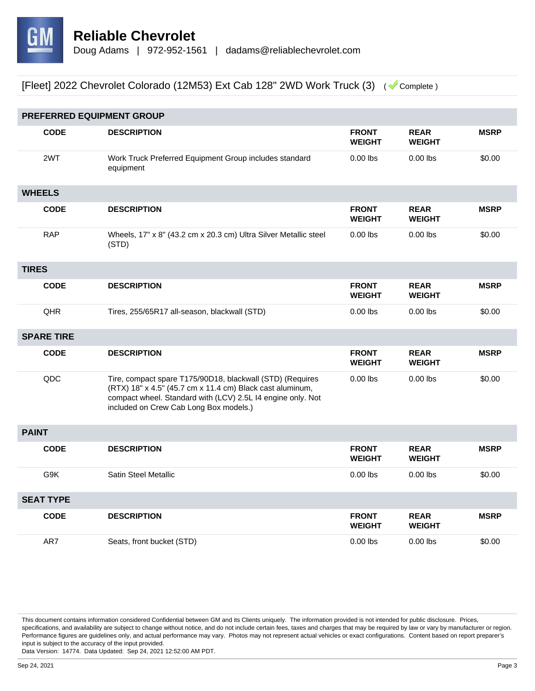

|                  | PREFERRED EQUIPMENT GROUP |                                                                                                                                                                                                                                 |                               |                              |             |
|------------------|---------------------------|---------------------------------------------------------------------------------------------------------------------------------------------------------------------------------------------------------------------------------|-------------------------------|------------------------------|-------------|
|                  | <b>CODE</b>               | <b>DESCRIPTION</b>                                                                                                                                                                                                              | <b>FRONT</b><br><b>WEIGHT</b> | <b>REAR</b><br><b>WEIGHT</b> | <b>MSRP</b> |
|                  | 2WT                       | Work Truck Preferred Equipment Group includes standard<br>equipment                                                                                                                                                             | $0.00$ lbs                    | $0.00$ lbs                   | \$0.00      |
|                  | <b>WHEELS</b>             |                                                                                                                                                                                                                                 |                               |                              |             |
|                  | <b>CODE</b>               | <b>DESCRIPTION</b>                                                                                                                                                                                                              | <b>FRONT</b><br><b>WEIGHT</b> | <b>REAR</b><br><b>WEIGHT</b> | <b>MSRP</b> |
|                  | <b>RAP</b>                | Wheels, 17" x 8" (43.2 cm x 20.3 cm) Ultra Silver Metallic steel<br>(STD)                                                                                                                                                       | $0.00$ lbs                    | $0.00$ lbs                   | \$0.00      |
| <b>TIRES</b>     |                           |                                                                                                                                                                                                                                 |                               |                              |             |
|                  | <b>CODE</b>               | <b>DESCRIPTION</b>                                                                                                                                                                                                              | <b>FRONT</b><br><b>WEIGHT</b> | <b>REAR</b><br><b>WEIGHT</b> | <b>MSRP</b> |
|                  | QHR                       | Tires, 255/65R17 all-season, blackwall (STD)                                                                                                                                                                                    | $0.00$ lbs                    | $0.00$ lbs                   | \$0.00      |
|                  | <b>SPARE TIRE</b>         |                                                                                                                                                                                                                                 |                               |                              |             |
|                  | <b>CODE</b>               | <b>DESCRIPTION</b>                                                                                                                                                                                                              | <b>FRONT</b><br><b>WEIGHT</b> | <b>REAR</b><br><b>WEIGHT</b> | <b>MSRP</b> |
|                  | QDC                       | Tire, compact spare T175/90D18, blackwall (STD) (Requires<br>(RTX) 18" x 4.5" (45.7 cm x 11.4 cm) Black cast aluminum,<br>compact wheel. Standard with (LCV) 2.5L I4 engine only. Not<br>included on Crew Cab Long Box models.) | $0.00$ lbs                    | $0.00$ lbs                   | \$0.00      |
| <b>PAINT</b>     |                           |                                                                                                                                                                                                                                 |                               |                              |             |
|                  | <b>CODE</b>               | <b>DESCRIPTION</b>                                                                                                                                                                                                              | <b>FRONT</b><br><b>WEIGHT</b> | <b>REAR</b><br><b>WEIGHT</b> | <b>MSRP</b> |
|                  | G9K                       | <b>Satin Steel Metallic</b>                                                                                                                                                                                                     | $0.00$ lbs                    | $0.00$ lbs                   | \$0.00      |
| <b>SEAT TYPE</b> |                           |                                                                                                                                                                                                                                 |                               |                              |             |
|                  | <b>CODE</b>               | <b>DESCRIPTION</b>                                                                                                                                                                                                              | <b>FRONT</b><br><b>WEIGHT</b> | <b>REAR</b><br><b>WEIGHT</b> | <b>MSRP</b> |
|                  | AR7                       | Seats, front bucket (STD)                                                                                                                                                                                                       | $0.00$ lbs                    | $0.00$ lbs                   | \$0.00      |

This document contains information considered Confidential between GM and its Clients uniquely. The information provided is not intended for public disclosure. Prices, specifications, and availability are subject to change without notice, and do not include certain fees, taxes and charges that may be required by law or vary by manufacturer or region. Performance figures are guidelines only, and actual performance may vary. Photos may not represent actual vehicles or exact configurations. Content based on report preparer's input is subject to the accuracy of the input provided.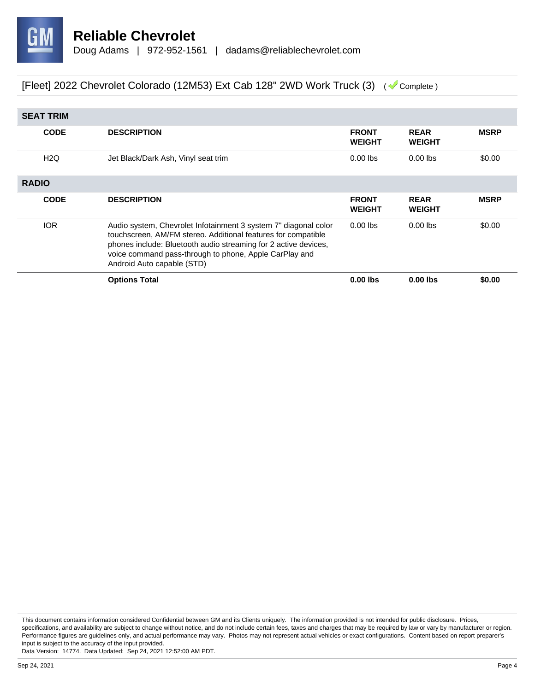

| <b>SEAT TRIM</b> |              |                                                                                                                                                                                                                                                                                             |                               |                              |             |
|------------------|--------------|---------------------------------------------------------------------------------------------------------------------------------------------------------------------------------------------------------------------------------------------------------------------------------------------|-------------------------------|------------------------------|-------------|
|                  | <b>CODE</b>  | <b>DESCRIPTION</b>                                                                                                                                                                                                                                                                          | <b>FRONT</b><br><b>WEIGHT</b> | <b>REAR</b><br><b>WEIGHT</b> | <b>MSRP</b> |
|                  | H2Q          | Jet Black/Dark Ash, Vinyl seat trim                                                                                                                                                                                                                                                         | $0.00$ lbs                    | $0.00$ lbs                   | \$0.00      |
|                  | <b>RADIO</b> |                                                                                                                                                                                                                                                                                             |                               |                              |             |
|                  | <b>CODE</b>  | <b>DESCRIPTION</b>                                                                                                                                                                                                                                                                          | <b>FRONT</b><br><b>WEIGHT</b> | <b>REAR</b><br><b>WEIGHT</b> | <b>MSRP</b> |
|                  | <b>IOR</b>   | Audio system, Chevrolet Infotainment 3 system 7" diagonal color<br>touchscreen, AM/FM stereo. Additional features for compatible<br>phones include: Bluetooth audio streaming for 2 active devices,<br>voice command pass-through to phone, Apple CarPlay and<br>Android Auto capable (STD) | $0.00$ lbs                    | $0.00$ lbs                   | \$0.00      |
|                  |              | <b>Options Total</b>                                                                                                                                                                                                                                                                        | $0.00$ lbs                    | $0.00$ lbs                   | \$0.00      |

This document contains information considered Confidential between GM and its Clients uniquely. The information provided is not intended for public disclosure. Prices, specifications, and availability are subject to change without notice, and do not include certain fees, taxes and charges that may be required by law or vary by manufacturer or region. Performance figures are guidelines only, and actual performance may vary. Photos may not represent actual vehicles or exact configurations. Content based on report preparer's input is subject to the accuracy of the input provided.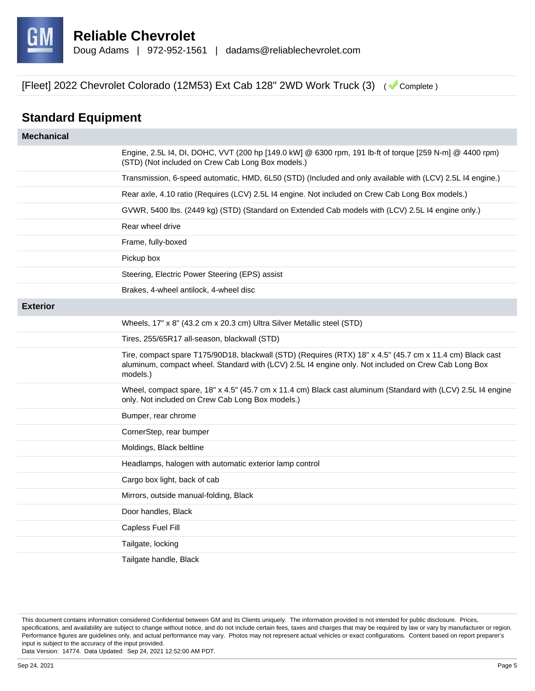

## **Standard Equipment**

| <b>Mechanical</b> |                                                                                                                                                                                                                              |
|-------------------|------------------------------------------------------------------------------------------------------------------------------------------------------------------------------------------------------------------------------|
|                   | Engine, 2.5L I4, DI, DOHC, VVT (200 hp [149.0 kW] @ 6300 rpm, 191 lb-ft of torque [259 N-m] @ 4400 rpm)<br>(STD) (Not included on Crew Cab Long Box models.)                                                                 |
|                   | Transmission, 6-speed automatic, HMD, 6L50 (STD) (Included and only available with (LCV) 2.5L I4 engine.)                                                                                                                    |
|                   | Rear axle, 4.10 ratio (Requires (LCV) 2.5L I4 engine. Not included on Crew Cab Long Box models.)                                                                                                                             |
|                   | GVWR, 5400 lbs. (2449 kg) (STD) (Standard on Extended Cab models with (LCV) 2.5L I4 engine only.)                                                                                                                            |
|                   | Rear wheel drive                                                                                                                                                                                                             |
|                   | Frame, fully-boxed                                                                                                                                                                                                           |
|                   | Pickup box                                                                                                                                                                                                                   |
|                   | Steering, Electric Power Steering (EPS) assist                                                                                                                                                                               |
|                   | Brakes, 4-wheel antilock, 4-wheel disc                                                                                                                                                                                       |
| <b>Exterior</b>   |                                                                                                                                                                                                                              |
|                   | Wheels, 17" x 8" (43.2 cm x 20.3 cm) Ultra Silver Metallic steel (STD)                                                                                                                                                       |
|                   | Tires, 255/65R17 all-season, blackwall (STD)                                                                                                                                                                                 |
|                   | Tire, compact spare T175/90D18, blackwall (STD) (Requires (RTX) 18" x 4.5" (45.7 cm x 11.4 cm) Black cast<br>aluminum, compact wheel. Standard with (LCV) 2.5L I4 engine only. Not included on Crew Cab Long Box<br>models.) |
|                   | Wheel, compact spare, 18" x 4.5" (45.7 cm x 11.4 cm) Black cast aluminum (Standard with (LCV) 2.5L I4 engine<br>only. Not included on Crew Cab Long Box models.)                                                             |
|                   | Bumper, rear chrome                                                                                                                                                                                                          |
|                   | CornerStep, rear bumper                                                                                                                                                                                                      |
|                   | Moldings, Black beltline                                                                                                                                                                                                     |
|                   | Headlamps, halogen with automatic exterior lamp control                                                                                                                                                                      |
|                   | Cargo box light, back of cab                                                                                                                                                                                                 |
|                   | Mirrors, outside manual-folding, Black                                                                                                                                                                                       |
|                   | Door handles, Black                                                                                                                                                                                                          |
|                   | Capless Fuel Fill                                                                                                                                                                                                            |
|                   | Tailgate, locking                                                                                                                                                                                                            |
|                   | Tailgate handle, Black                                                                                                                                                                                                       |

This document contains information considered Confidential between GM and its Clients uniquely. The information provided is not intended for public disclosure. Prices, specifications, and availability are subject to change without notice, and do not include certain fees, taxes and charges that may be required by law or vary by manufacturer or region. Performance figures are guidelines only, and actual performance may vary. Photos may not represent actual vehicles or exact configurations. Content based on report preparer's input is subject to the accuracy of the input provided.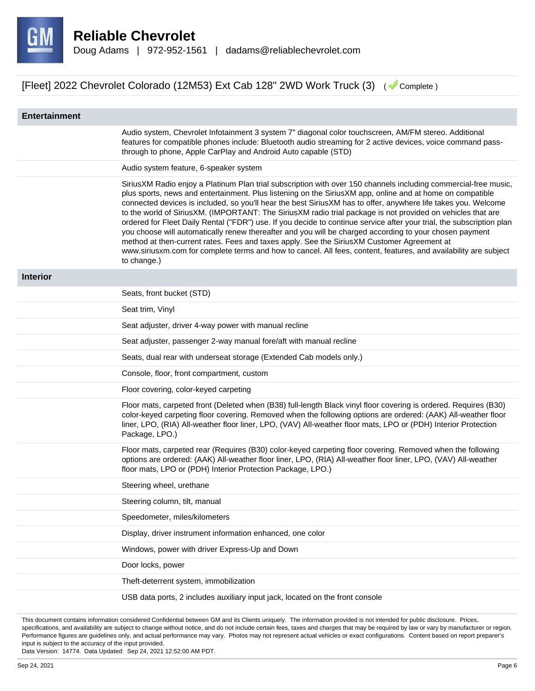

| <b>Entertainment</b> |                                                                                                                                                                                                                                                                                                                                                                                                                                                                                                                                                                                                                                                                                                                                                                                                                                                                                                                                    |
|----------------------|------------------------------------------------------------------------------------------------------------------------------------------------------------------------------------------------------------------------------------------------------------------------------------------------------------------------------------------------------------------------------------------------------------------------------------------------------------------------------------------------------------------------------------------------------------------------------------------------------------------------------------------------------------------------------------------------------------------------------------------------------------------------------------------------------------------------------------------------------------------------------------------------------------------------------------|
|                      | Audio system, Chevrolet Infotainment 3 system 7" diagonal color touchscreen, AM/FM stereo. Additional<br>features for compatible phones include: Bluetooth audio streaming for 2 active devices, voice command pass-<br>through to phone, Apple CarPlay and Android Auto capable (STD)                                                                                                                                                                                                                                                                                                                                                                                                                                                                                                                                                                                                                                             |
|                      | Audio system feature, 6-speaker system                                                                                                                                                                                                                                                                                                                                                                                                                                                                                                                                                                                                                                                                                                                                                                                                                                                                                             |
|                      | SiriusXM Radio enjoy a Platinum Plan trial subscription with over 150 channels including commercial-free music,<br>plus sports, news and entertainment. Plus listening on the SiriusXM app, online and at home on compatible<br>connected devices is included, so you'll hear the best SiriusXM has to offer, anywhere life takes you. Welcome<br>to the world of SiriusXM. (IMPORTANT: The SiriusXM radio trial package is not provided on vehicles that are<br>ordered for Fleet Daily Rental ("FDR") use. If you decide to continue service after your trial, the subscription plan<br>you choose will automatically renew thereafter and you will be charged according to your chosen payment<br>method at then-current rates. Fees and taxes apply. See the SiriusXM Customer Agreement at<br>www.siriusxm.com for complete terms and how to cancel. All fees, content, features, and availability are subject<br>to change.) |
| <b>Interior</b>      |                                                                                                                                                                                                                                                                                                                                                                                                                                                                                                                                                                                                                                                                                                                                                                                                                                                                                                                                    |
|                      | Seats, front bucket (STD)                                                                                                                                                                                                                                                                                                                                                                                                                                                                                                                                                                                                                                                                                                                                                                                                                                                                                                          |
|                      | Seat trim, Vinyl                                                                                                                                                                                                                                                                                                                                                                                                                                                                                                                                                                                                                                                                                                                                                                                                                                                                                                                   |
|                      | Seat adjuster, driver 4-way power with manual recline                                                                                                                                                                                                                                                                                                                                                                                                                                                                                                                                                                                                                                                                                                                                                                                                                                                                              |
|                      | Seat adjuster, passenger 2-way manual fore/aft with manual recline                                                                                                                                                                                                                                                                                                                                                                                                                                                                                                                                                                                                                                                                                                                                                                                                                                                                 |
|                      | Seats, dual rear with underseat storage (Extended Cab models only.)                                                                                                                                                                                                                                                                                                                                                                                                                                                                                                                                                                                                                                                                                                                                                                                                                                                                |
|                      | Console, floor, front compartment, custom                                                                                                                                                                                                                                                                                                                                                                                                                                                                                                                                                                                                                                                                                                                                                                                                                                                                                          |
|                      | Floor covering, color-keyed carpeting                                                                                                                                                                                                                                                                                                                                                                                                                                                                                                                                                                                                                                                                                                                                                                                                                                                                                              |
|                      | Floor mats, carpeted front (Deleted when (B38) full-length Black vinyl floor covering is ordered. Requires (B30)<br>color-keyed carpeting floor covering. Removed when the following options are ordered: (AAK) All-weather floor<br>liner, LPO, (RIA) All-weather floor liner, LPO, (VAV) All-weather floor mats, LPO or (PDH) Interior Protection<br>Package, LPO.)                                                                                                                                                                                                                                                                                                                                                                                                                                                                                                                                                              |
|                      | Floor mats, carpeted rear (Requires (B30) color-keyed carpeting floor covering. Removed when the following<br>options are ordered: (AAK) All-weather floor liner, LPO, (RIA) All-weather floor liner, LPO, (VAV) All-weather<br>floor mats, LPO or (PDH) Interior Protection Package, LPO.)                                                                                                                                                                                                                                                                                                                                                                                                                                                                                                                                                                                                                                        |
|                      | Steering wheel, urethane                                                                                                                                                                                                                                                                                                                                                                                                                                                                                                                                                                                                                                                                                                                                                                                                                                                                                                           |
|                      | Steering column, tilt, manual                                                                                                                                                                                                                                                                                                                                                                                                                                                                                                                                                                                                                                                                                                                                                                                                                                                                                                      |
|                      | Speedometer, miles/kilometers                                                                                                                                                                                                                                                                                                                                                                                                                                                                                                                                                                                                                                                                                                                                                                                                                                                                                                      |
|                      | Display, driver instrument information enhanced, one color                                                                                                                                                                                                                                                                                                                                                                                                                                                                                                                                                                                                                                                                                                                                                                                                                                                                         |
|                      | Windows, power with driver Express-Up and Down                                                                                                                                                                                                                                                                                                                                                                                                                                                                                                                                                                                                                                                                                                                                                                                                                                                                                     |
|                      | Door locks, power                                                                                                                                                                                                                                                                                                                                                                                                                                                                                                                                                                                                                                                                                                                                                                                                                                                                                                                  |
|                      | Theft-deterrent system, immobilization                                                                                                                                                                                                                                                                                                                                                                                                                                                                                                                                                                                                                                                                                                                                                                                                                                                                                             |
|                      | USB data ports, 2 includes auxiliary input jack, located on the front console                                                                                                                                                                                                                                                                                                                                                                                                                                                                                                                                                                                                                                                                                                                                                                                                                                                      |

This document contains information considered Confidential between GM and its Clients uniquely. The information provided is not intended for public disclosure. Prices, specifications, and availability are subject to change without notice, and do not include certain fees, taxes and charges that may be required by law or vary by manufacturer or region. Performance figures are guidelines only, and actual performance may vary. Photos may not represent actual vehicles or exact configurations. Content based on report preparer's input is subject to the accuracy of the input provided.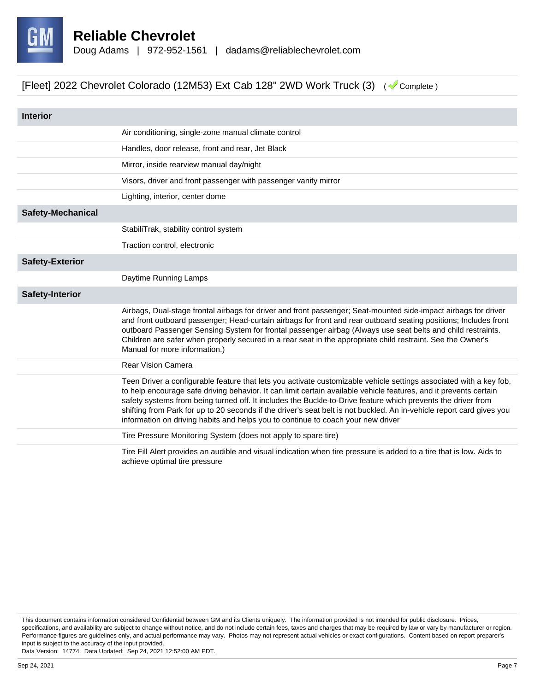

| <b>Interior</b>          |                                                                                                                                                                                                                                                                                                                                                                                                                                                                                                                                                                      |
|--------------------------|----------------------------------------------------------------------------------------------------------------------------------------------------------------------------------------------------------------------------------------------------------------------------------------------------------------------------------------------------------------------------------------------------------------------------------------------------------------------------------------------------------------------------------------------------------------------|
|                          | Air conditioning, single-zone manual climate control                                                                                                                                                                                                                                                                                                                                                                                                                                                                                                                 |
|                          | Handles, door release, front and rear, Jet Black                                                                                                                                                                                                                                                                                                                                                                                                                                                                                                                     |
|                          | Mirror, inside rearview manual day/night                                                                                                                                                                                                                                                                                                                                                                                                                                                                                                                             |
|                          | Visors, driver and front passenger with passenger vanity mirror                                                                                                                                                                                                                                                                                                                                                                                                                                                                                                      |
|                          | Lighting, interior, center dome                                                                                                                                                                                                                                                                                                                                                                                                                                                                                                                                      |
| <b>Safety-Mechanical</b> |                                                                                                                                                                                                                                                                                                                                                                                                                                                                                                                                                                      |
|                          | StabiliTrak, stability control system                                                                                                                                                                                                                                                                                                                                                                                                                                                                                                                                |
|                          | Traction control, electronic                                                                                                                                                                                                                                                                                                                                                                                                                                                                                                                                         |
| <b>Safety-Exterior</b>   |                                                                                                                                                                                                                                                                                                                                                                                                                                                                                                                                                                      |
|                          | Daytime Running Lamps                                                                                                                                                                                                                                                                                                                                                                                                                                                                                                                                                |
| <b>Safety-Interior</b>   |                                                                                                                                                                                                                                                                                                                                                                                                                                                                                                                                                                      |
|                          | Airbags, Dual-stage frontal airbags for driver and front passenger; Seat-mounted side-impact airbags for driver<br>and front outboard passenger; Head-curtain airbags for front and rear outboard seating positions; Includes front<br>outboard Passenger Sensing System for frontal passenger airbag (Always use seat belts and child restraints.<br>Children are safer when properly secured in a rear seat in the appropriate child restraint. See the Owner's<br>Manual for more information.)                                                                   |
|                          | <b>Rear Vision Camera</b>                                                                                                                                                                                                                                                                                                                                                                                                                                                                                                                                            |
|                          | Teen Driver a configurable feature that lets you activate customizable vehicle settings associated with a key fob,<br>to help encourage safe driving behavior. It can limit certain available vehicle features, and it prevents certain<br>safety systems from being turned off. It includes the Buckle-to-Drive feature which prevents the driver from<br>shifting from Park for up to 20 seconds if the driver's seat belt is not buckled. An in-vehicle report card gives you<br>information on driving habits and helps you to continue to coach your new driver |
|                          | Tire Pressure Monitoring System (does not apply to spare tire)                                                                                                                                                                                                                                                                                                                                                                                                                                                                                                       |
|                          | Tire Fill Alert provides an audible and visual indication when tire pressure is added to a tire that is low. Aids to<br>achieve optimal tire pressure                                                                                                                                                                                                                                                                                                                                                                                                                |

This document contains information considered Confidential between GM and its Clients uniquely. The information provided is not intended for public disclosure. Prices, specifications, and availability are subject to change without notice, and do not include certain fees, taxes and charges that may be required by law or vary by manufacturer or region. Performance figures are guidelines only, and actual performance may vary. Photos may not represent actual vehicles or exact configurations. Content based on report preparer's input is subject to the accuracy of the input provided.